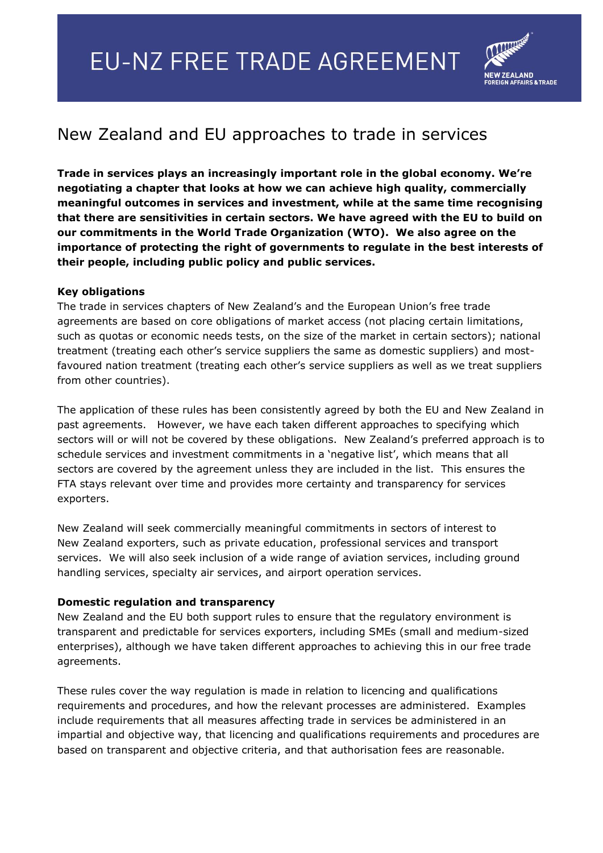

# New Zealand and EU approaches to trade in services

**Trade in services plays an increasingly important role in the global economy. We're negotiating a chapter that looks at how we can achieve high quality, commercially meaningful outcomes in services and investment, while at the same time recognising that there are sensitivities in certain sectors. We have agreed with the EU to build on our commitments in the World Trade Organization (WTO). We also agree on the importance of protecting the right of governments to regulate in the best interests of their people, including public policy and public services.**

## **Key obligations**

The trade in services chapters of New Zealand's and the European Union's free trade agreements are based on core obligations of market access (not placing certain limitations, such as quotas or economic needs tests, on the size of the market in certain sectors); national treatment (treating each other's service suppliers the same as domestic suppliers) and mostfavoured nation treatment (treating each other's service suppliers as well as we treat suppliers from other countries).

The application of these rules has been consistently agreed by both the EU and New Zealand in past agreements. However, we have each taken different approaches to specifying which sectors will or will not be covered by these obligations. New Zealand's preferred approach is to schedule services and investment commitments in a 'negative list', which means that all sectors are covered by the agreement unless they are included in the list. This ensures the FTA stays relevant over time and provides more certainty and transparency for services exporters.

New Zealand will seek commercially meaningful commitments in sectors of interest to New Zealand exporters, such as private education, professional services and transport services. We will also seek inclusion of a wide range of aviation services, including ground handling services, specialty air services, and airport operation services.

## **Domestic regulation and transparency**

New Zealand and the EU both support rules to ensure that the regulatory environment is transparent and predictable for services exporters, including SMEs (small and medium-sized enterprises), although we have taken different approaches to achieving this in our free trade agreements.

These rules cover the way regulation is made in relation to licencing and qualifications requirements and procedures, and how the relevant processes are administered. Examples include requirements that all measures affecting trade in services be administered in an impartial and objective way, that licencing and qualifications requirements and procedures are based on transparent and objective criteria, and that authorisation fees are reasonable.